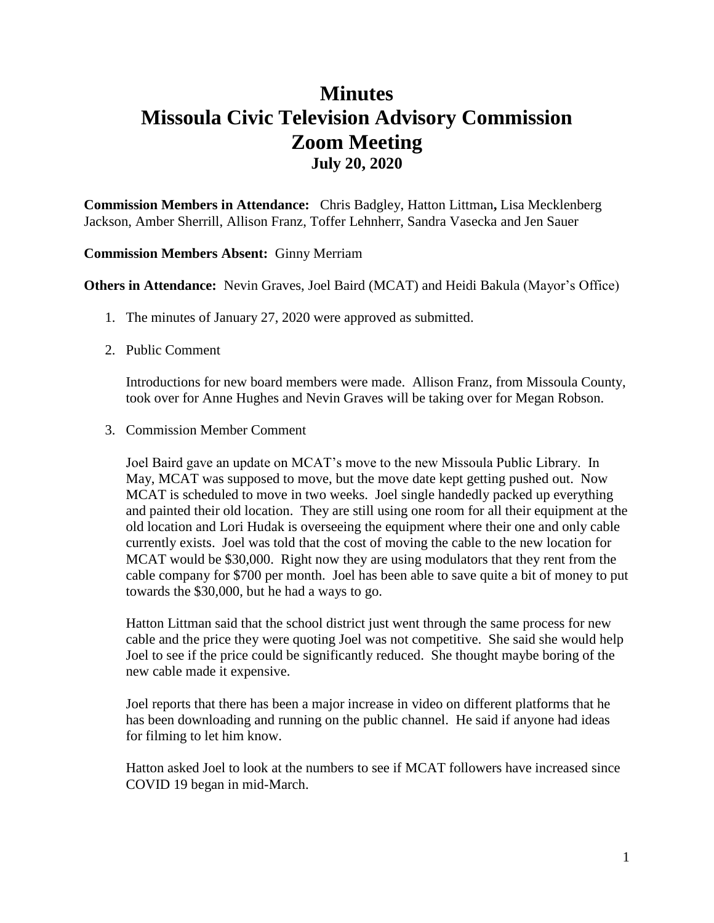## **Minutes Missoula Civic Television Advisory Commission Zoom Meeting July 20, 2020**

**Commission Members in Attendance:** Chris Badgley, Hatton Littman**,** Lisa Mecklenberg Jackson, Amber Sherrill, Allison Franz, Toffer Lehnherr, Sandra Vasecka and Jen Sauer

## **Commission Members Absent:** Ginny Merriam

**Others in Attendance:** Nevin Graves, Joel Baird (MCAT) and Heidi Bakula (Mayor's Office)

- 1. The minutes of January 27, 2020 were approved as submitted.
- 2. Public Comment

Introductions for new board members were made. Allison Franz, from Missoula County, took over for Anne Hughes and Nevin Graves will be taking over for Megan Robson.

3. Commission Member Comment

Joel Baird gave an update on MCAT's move to the new Missoula Public Library. In May, MCAT was supposed to move, but the move date kept getting pushed out. Now MCAT is scheduled to move in two weeks. Joel single handedly packed up everything and painted their old location. They are still using one room for all their equipment at the old location and Lori Hudak is overseeing the equipment where their one and only cable currently exists. Joel was told that the cost of moving the cable to the new location for MCAT would be \$30,000. Right now they are using modulators that they rent from the cable company for \$700 per month. Joel has been able to save quite a bit of money to put towards the \$30,000, but he had a ways to go.

Hatton Littman said that the school district just went through the same process for new cable and the price they were quoting Joel was not competitive. She said she would help Joel to see if the price could be significantly reduced. She thought maybe boring of the new cable made it expensive.

Joel reports that there has been a major increase in video on different platforms that he has been downloading and running on the public channel. He said if anyone had ideas for filming to let him know.

Hatton asked Joel to look at the numbers to see if MCAT followers have increased since COVID 19 began in mid-March.